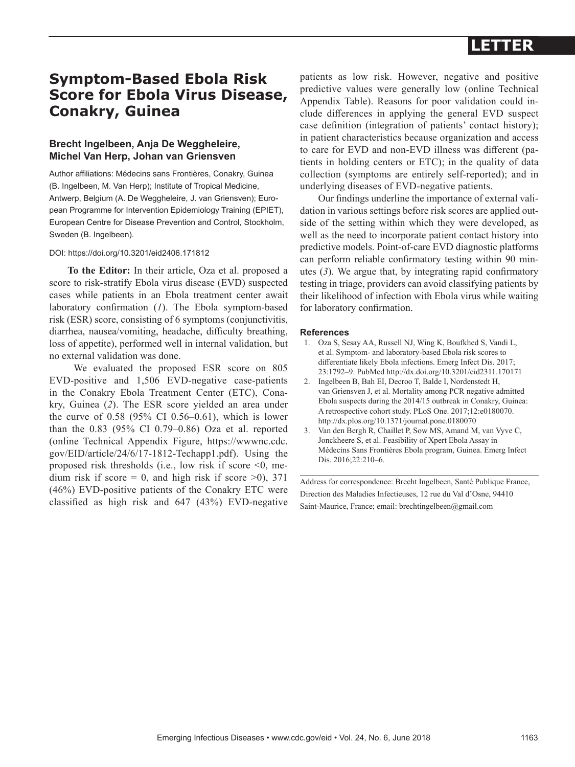## **LETTER**

## **Symptom-Based Ebola Risk Score for Ebola Virus Disease, Conakry, Guinea**

### **Brecht Ingelbeen, Anja De Weggheleire, Michel Van Herp, Johan van Griensven**

Author affiliations: Médecins sans Frontières, Conakry, Guinea (B. Ingelbeen, M. Van Herp); Institute of Tropical Medicine, Antwerp, Belgium (A. De Weggheleire, J. van Griensven); European Programme for Intervention Epidemiology Training (EPIET), European Centre for Disease Prevention and Control, Stockholm, Sweden (B. Ingelbeen).

#### DOI: https://doi.org/10.3201/eid2406.171812

**To the Editor:** In their article, Oza et al. proposed a score to risk-stratify Ebola virus disease (EVD) suspected cases while patients in an Ebola treatment center await laboratory confirmation (*1*). The Ebola symptom-based risk (ESR) score, consisting of 6 symptoms (conjunctivitis, diarrhea, nausea/vomiting, headache, difficulty breathing, loss of appetite), performed well in internal validation, but no external validation was done.

 We evaluated the proposed ESR score on 805 EVD-positive and 1,506 EVD-negative case-patients in the Conakry Ebola Treatment Center (ETC), Conakry, Guinea (*2*). The ESR score yielded an area under the curve of 0.58 (95% CI 0.56–0.61), which is lower than the 0.83 (95% CI 0.79–0.86) Oza et al. reported (online Technical Appendix Figure, https://wwwnc.cdc. gov/EID/article/24/6/17-1812-Techapp1.pdf). Using the proposed risk thresholds (i.e., low risk if score  $\leq 0$ , medium risk if score  $= 0$ , and high risk if score  $>0$ ), 371 (46%) EVD-positive patients of the Conakry ETC were classified as high risk and 647 (43%) EVD-negative patients as low risk. However, negative and positive predictive values were generally low (online Technical Appendix Table). Reasons for poor validation could include differences in applying the general EVD suspect case definition (integration of patients' contact history); in patient characteristics because organization and access to care for EVD and non-EVD illness was different (patients in holding centers or ETC); in the quality of data collection (symptoms are entirely self-reported); and in underlying diseases of EVD-negative patients.

Our findings underline the importance of external validation in various settings before risk scores are applied outside of the setting within which they were developed, as well as the need to incorporate patient contact history into predictive models. Point-of-care EVD diagnostic platforms can perform reliable confirmatory testing within 90 minutes (*3*). We argue that, by integrating rapid confirmatory testing in triage, providers can avoid classifying patients by their likelihood of infection with Ebola virus while waiting for laboratory confirmation.

#### **References**

- 1. Oza S, Sesay AA, Russell NJ, Wing K, Boufkhed S, Vandi L, et al. Symptom- and laboratory-based Ebola risk scores to differentiate likely Ebola infections. Emerg Infect Dis. 2017; 23:1792–9. PubMed http://dx.doi.org/10.3201/eid2311.170171
- 2. Ingelbeen B, Bah EI, Decroo T, Balde I, Nordenstedt H, van Griensven J, et al. Mortality among PCR negative admitted Ebola suspects during the 2014/15 outbreak in Conakry, Guinea: A retrospective cohort study. PLoS One. 2017;12:e0180070. http://dx.plos.org/10.1371/journal.pone.0180070
- 3. Van den Bergh R, Chaillet P, Sow MS, Amand M, van Vyve C, Jonckheere S, et al. Feasibility of Xpert Ebola Assay in Médecins Sans Frontières Ebola program, Guinea. Emerg Infect Dis. 2016;22:210–6.

Address for correspondence: Brecht Ingelbeen, Santé Publique France, Direction des Maladies Infectieuses, 12 rue du Val d'Osne, 94410 Saint-Maurice, France; email: brechtingelbeen@gmail.com